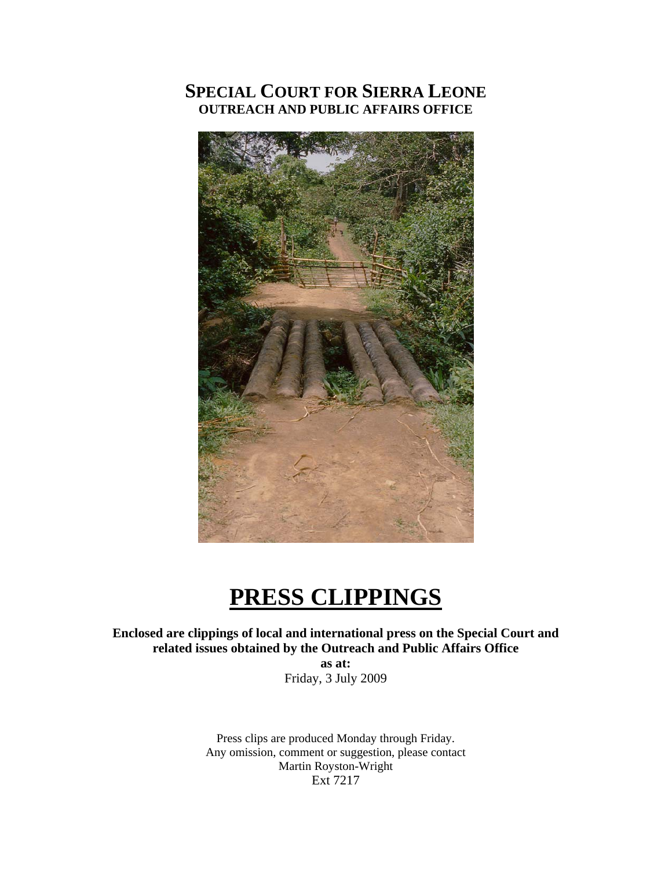# **SPECIAL COURT FOR SIERRA LEONE OUTREACH AND PUBLIC AFFAIRS OFFICE**



# **PRESS CLIPPINGS**

**Enclosed are clippings of local and international press on the Special Court and related issues obtained by the Outreach and Public Affairs Office as at:** 

Friday, 3 July 2009

Press clips are produced Monday through Friday. Any omission, comment or suggestion, please contact Martin Royston-Wright Ext 7217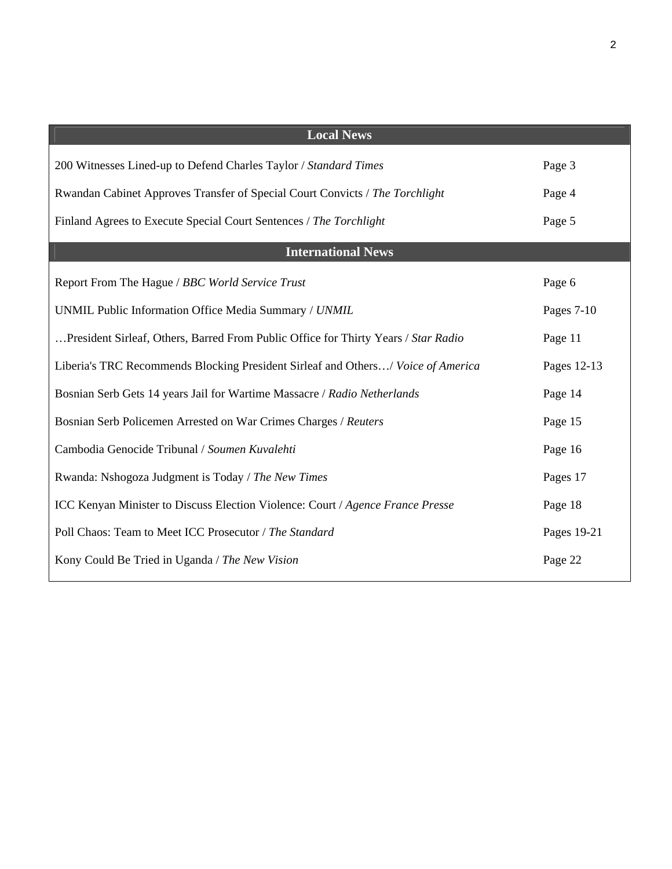| <b>Local News</b>                                                                  |             |
|------------------------------------------------------------------------------------|-------------|
| 200 Witnesses Lined-up to Defend Charles Taylor / Standard Times                   | Page 3      |
| Rwandan Cabinet Approves Transfer of Special Court Convicts / The Torchlight       | Page 4      |
| Finland Agrees to Execute Special Court Sentences / The Torchlight                 | Page 5      |
| <b>International News</b>                                                          |             |
| Report From The Hague / BBC World Service Trust                                    | Page 6      |
| UNMIL Public Information Office Media Summary / UNMIL                              | Pages 7-10  |
| President Sirleaf, Others, Barred From Public Office for Thirty Years / Star Radio | Page 11     |
| Liberia's TRC Recommends Blocking President Sirleaf and Others/ Voice of America   | Pages 12-13 |
| Bosnian Serb Gets 14 years Jail for Wartime Massacre / Radio Netherlands           | Page 14     |
| Bosnian Serb Policemen Arrested on War Crimes Charges / Reuters                    | Page 15     |
| Cambodia Genocide Tribunal / Soumen Kuvalehti                                      | Page 16     |
| Rwanda: Nshogoza Judgment is Today / The New Times                                 | Pages 17    |
| ICC Kenyan Minister to Discuss Election Violence: Court / Agence France Presse     | Page 18     |
| Poll Chaos: Team to Meet ICC Prosecutor / The Standard                             | Pages 19-21 |
| Kony Could Be Tried in Uganda / The New Vision                                     | Page 22     |
|                                                                                    |             |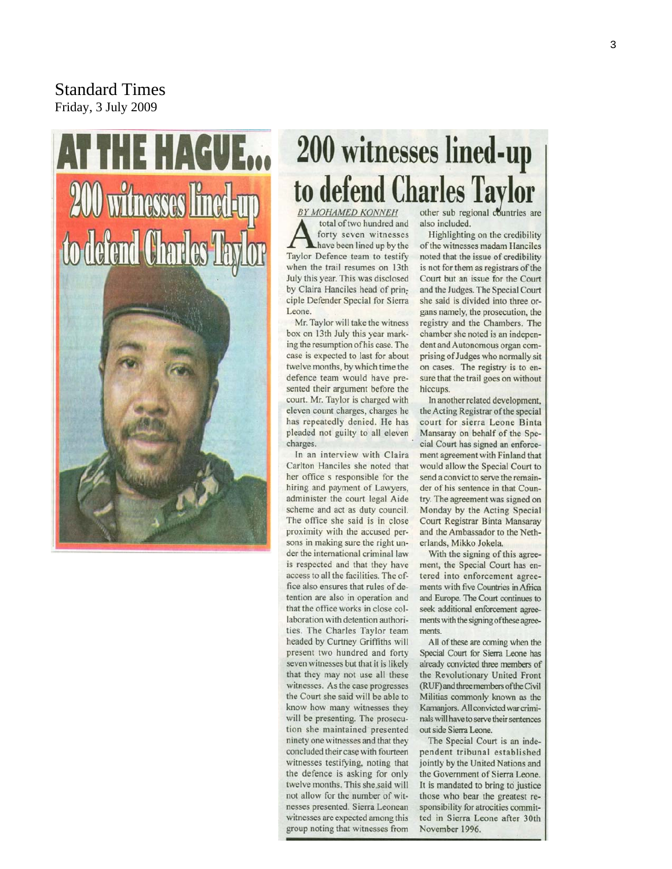Standard Times Friday, 3 July 2009

# AT THE HAGUE... **200 witnesses lined-up** to defend Charles Taylor



# **200 witnesses lined-up** to defend Charles Taylor

**BY MOHAMED KONNEH** total of two hundred and forty seven witnesses have been lined up by the Taylor Defence team to testify when the trail resumes on 13th July this year. This was disclosed by Claira Hanciles head of principle Defender Special for Sierra Leone.

Mr. Taylor will take the witness box on 13th July this year marking the resumption of his case. The case is expected to last for about twelve months, by which time the defence team would have presented their argument before the court. Mr. Taylor is charged with eleven count charges, charges he has repeatedly denied. He has pleaded not guilty to all eleven charges.

In an interview with Claira Carlton Hanciles she noted that her office s responsible for the hiring and payment of Lawyers, administer the court legal Aide scheme and act as duty council. The office she said is in close proximity with the accused persons in making sure the right under the international criminal law is respected and that they have access to all the facilities. The office also ensures that rules of detention are also in operation and that the office works in close collaboration with detention authorities. The Charles Taylor team headed by Curtney Griffiths will present two hundred and forty seven witnesses but that it is likely that they may not use all these witnesses. As the case progresses the Court she said will be able to know how many witnesses they will be presenting. The prosecution she maintained presented ninety one witnesses and that they concluded their case with fourteen witnesses testifying, noting that the defence is asking for only twelve months. This she said will not allow for the number of witnesses presented. Sierra Leonean witnesses are expected among this group noting that witnesses from

other sub regional countries are also included.

Highlighting on the credibility of the witnesses madam Hanciles noted that the issue of credibility is not for them as registrars of the Court but an issue for the Court and the Judges. The Special Court she said is divided into three organs namely, the prosecution, the registry and the Chambers. The chamber she noted is an independent and Autonomous organ comprising of Judges who normally sit on cases. The registry is to ensure that the trail goes on without hiccups.

In another related development, the Acting Registrar of the special court for sierra Leone Binta Mansaray on behalf of the Special Court has signed an enforcement agreement with Finland that would allow the Special Court to send a convict to serve the remainder of his sentence in that Country. The agreement was signed on Monday by the Acting Special Court Registrar Binta Mansaray and the Ambassador to the Netherlands, Mikko Jokela.

With the signing of this agreement, the Special Court has entered into enforcement agreements with five Countries in Africa and Europe. The Court continues to seek additional enforcement agreements with the signing of these agreements.

All of these are coming when the Special Court for Sierra Leone has already convicted three members of the Revolutionary United Front (RUF) and three members of the Civil Militias commonly known as the Kamanjors. All convicted war criminals will have to serve their sentences out side Sierra Leone.

The Special Court is an independent tribunal established jointly by the United Nations and the Government of Sierra Leone. It is mandated to bring to justice those who bear the greatest responsibility for atrocities committed in Sierra Leone after 30th November 1996.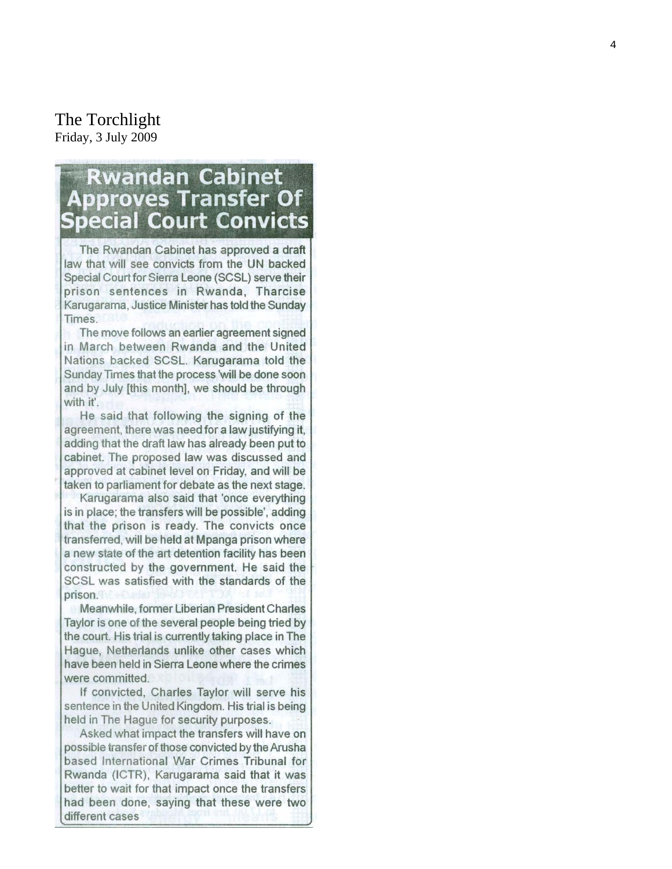#### The Torchlight Friday, 3 July 2009

# **Rwandan Cabinet Approves Transfer Of Special Court Convicts**

The Rwandan Cabinet has approved a draft law that will see convicts from the UN backed Special Court for Sierra Leone (SCSL) serve their prison sentences in Rwanda, Tharcise Karugarama, Justice Minister has told the Sunday Times.

The move follows an earlier agreement signed in March between Rwanda and the United Nations backed SCSL. Karugarama told the Sunday Times that the process 'will be done soon and by July [this month], we should be through with it'.

He said that following the signing of the agreement, there was need for a law justifying it, adding that the draft law has already been put to cabinet. The proposed law was discussed and approved at cabinet level on Friday, and will be taken to parliament for debate as the next stage.

Karugarama also said that 'once everything is in place; the transfers will be possible', adding that the prison is ready. The convicts once transferred, will be held at Mpanga prison where a new state of the art detention facility has been constructed by the government. He said the SCSL was satisfied with the standards of the prison

Meanwhile, former Liberian President Charles Taylor is one of the several people being tried by the court. His trial is currently taking place in The Hague, Netherlands unlike other cases which have been held in Sierra Leone where the crimes were committed.

If convicted, Charles Taylor will serve his sentence in the United Kingdom. His trial is being held in The Hague for security purposes.

Asked what impact the transfers will have on possible transfer of those convicted by the Arusha based International War Crimes Tribunal for Rwanda (ICTR), Karugarama said that it was better to wait for that impact once the transfers had been done, saying that these were two different cases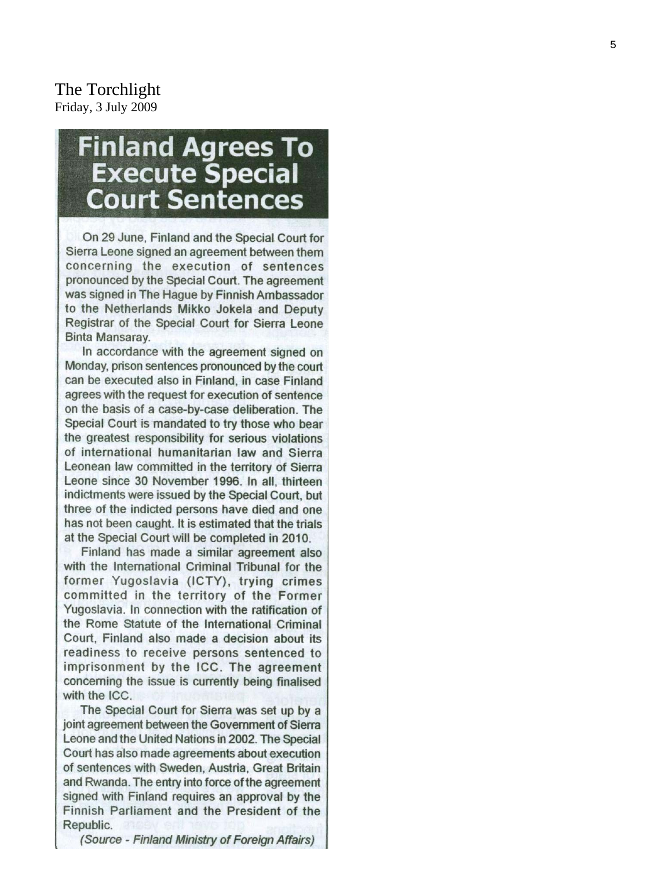The Torchlight Friday, 3 July 2009

# **Finland Agrees To Execute Special Court Sentences**

On 29 June, Finland and the Special Court for Sierra Leone signed an agreement between them concerning the execution of sentences pronounced by the Special Court. The agreement was signed in The Hague by Finnish Ambassador to the Netherlands Mikko Jokela and Deputy Registrar of the Special Court for Sierra Leone Binta Mansaray.

In accordance with the agreement signed on Monday, prison sentences pronounced by the court can be executed also in Finland, in case Finland agrees with the request for execution of sentence on the basis of a case-by-case deliberation. The Special Court is mandated to try those who bear the greatest responsibility for serious violations of international humanitarian law and Sierra Leonean law committed in the territory of Sierra Leone since 30 November 1996. In all, thirteen indictments were issued by the Special Court, but three of the indicted persons have died and one has not been caught. It is estimated that the trials at the Special Court will be completed in 2010.

Finland has made a similar agreement also with the International Criminal Tribunal for the former Yugoslavia (ICTY), trying crimes committed in the territory of the Former Yugoslavia. In connection with the ratification of the Rome Statute of the International Criminal Court, Finland also made a decision about its readiness to receive persons sentenced to imprisonment by the ICC. The agreement concerning the issue is currently being finalised with the ICC.

The Special Court for Sierra was set up by a joint agreement between the Government of Sierra Leone and the United Nations in 2002. The Special Court has also made agreements about execution of sentences with Sweden, Austria, Great Britain and Rwanda. The entry into force of the agreement signed with Finland requires an approval by the Finnish Parliament and the President of the Republic.

(Source - Finland Ministry of Foreign Affairs)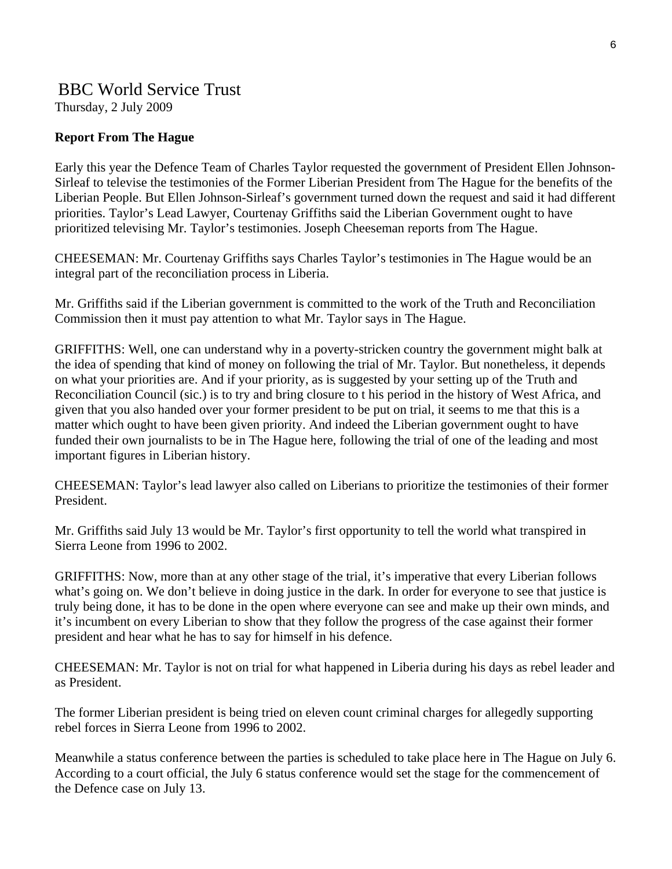# BBC World Service Trust

Thursday, 2 July 2009

#### **Report From The Hague**

Early this year the Defence Team of Charles Taylor requested the government of President Ellen Johnson-Sirleaf to televise the testimonies of the Former Liberian President from The Hague for the benefits of the Liberian People. But Ellen Johnson-Sirleaf's government turned down the request and said it had different priorities. Taylor's Lead Lawyer, Courtenay Griffiths said the Liberian Government ought to have prioritized televising Mr. Taylor's testimonies. Joseph Cheeseman reports from The Hague.

CHEESEMAN: Mr. Courtenay Griffiths says Charles Taylor's testimonies in The Hague would be an integral part of the reconciliation process in Liberia.

Mr. Griffiths said if the Liberian government is committed to the work of the Truth and Reconciliation Commission then it must pay attention to what Mr. Taylor says in The Hague.

GRIFFITHS: Well, one can understand why in a poverty-stricken country the government might balk at the idea of spending that kind of money on following the trial of Mr. Taylor. But nonetheless, it depends on what your priorities are. And if your priority, as is suggested by your setting up of the Truth and Reconciliation Council (sic.) is to try and bring closure to t his period in the history of West Africa, and given that you also handed over your former president to be put on trial, it seems to me that this is a matter which ought to have been given priority. And indeed the Liberian government ought to have funded their own journalists to be in The Hague here, following the trial of one of the leading and most important figures in Liberian history.

CHEESEMAN: Taylor's lead lawyer also called on Liberians to prioritize the testimonies of their former President.

Mr. Griffiths said July 13 would be Mr. Taylor's first opportunity to tell the world what transpired in Sierra Leone from 1996 to 2002.

GRIFFITHS: Now, more than at any other stage of the trial, it's imperative that every Liberian follows what's going on. We don't believe in doing justice in the dark. In order for everyone to see that justice is truly being done, it has to be done in the open where everyone can see and make up their own minds, and it's incumbent on every Liberian to show that they follow the progress of the case against their former president and hear what he has to say for himself in his defence.

CHEESEMAN: Mr. Taylor is not on trial for what happened in Liberia during his days as rebel leader and as President.

The former Liberian president is being tried on eleven count criminal charges for allegedly supporting rebel forces in Sierra Leone from 1996 to 2002.

Meanwhile a status conference between the parties is scheduled to take place here in The Hague on July 6. According to a court official, the July 6 status conference would set the stage for the commencement of the Defence case on July 13.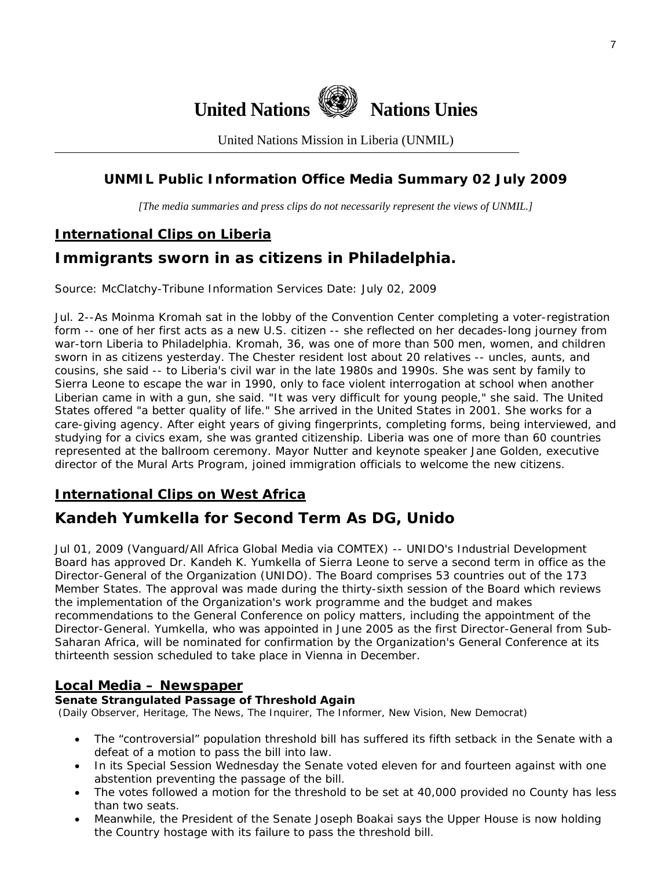

United Nations Mission in Liberia (UNMIL)

## **UNMIL Public Information Office Media Summary 02 July 2009**

*[The media summaries and press clips do not necessarily represent the views of UNMIL.]* 

## **International Clips on Liberia**

# **Immigrants sworn in as citizens in Philadelphia.**

Source: McClatchy-Tribune Information Services Date: July 02, 2009

Jul. 2--As Moinma Kromah sat in the lobby of the Convention Center completing a voter-registration form -- one of her first acts as a new U.S. citizen -- she reflected on her decades-long journey from war-torn Liberia to Philadelphia. Kromah, 36, was one of more than 500 men, women, and children sworn in as citizens yesterday. The Chester resident lost about 20 relatives -- uncles, aunts, and cousins, she said -- to Liberia's civil war in the late 1980s and 1990s. She was sent by family to Sierra Leone to escape the war in 1990, only to face violent interrogation at school when another Liberian came in with a gun, she said. "It was very difficult for young people," she said. The United States offered "a better quality of life." She arrived in the United States in 2001. She works for a care-giving agency. After eight years of giving fingerprints, completing forms, being interviewed, and studying for a civics exam, she was granted citizenship. Liberia was one of more than 60 countries represented at the ballroom ceremony. Mayor Nutter and keynote speaker Jane Golden, executive director of the Mural Arts Program, joined immigration officials to welcome the new citizens.

## **International Clips on West Africa**

## **Kandeh Yumkella for Second Term As DG, Unido**

Jul 01, 2009 (Vanguard/All Africa Global Media via COMTEX) -- UNIDO's Industrial Development Board has approved Dr. Kandeh K. Yumkella of Sierra Leone to serve a second term in office as the Director-General of the Organization (UNIDO). The Board comprises 53 countries out of the 173 Member States. The approval was made during the thirty-sixth session of the Board which reviews the implementation of the Organization's work programme and the budget and makes recommendations to the General Conference on policy matters, including the appointment of the Director-General. Yumkella, who was appointed in June 2005 as the first Director-General from Sub-Saharan Africa, will be nominated for confirmation by the Organization's General Conference at its thirteenth session scheduled to take place in Vienna in December.

#### **Local Media – Newspaper**

#### **Senate Strangulated Passage of Threshold Again**

(Daily Observer, Heritage, The News, The Inquirer, The Informer, New Vision, New Democrat)

- The "controversial" population threshold bill has suffered its fifth setback in the Senate with a defeat of a motion to pass the bill into law.
- In its Special Session Wednesday the Senate voted eleven for and fourteen against with one abstention preventing the passage of the bill.
- The votes followed a motion for the threshold to be set at 40,000 provided no County has less than two seats.
- Meanwhile, the President of the Senate Joseph Boakai says the Upper House is now holding the Country hostage with its failure to pass the threshold bill.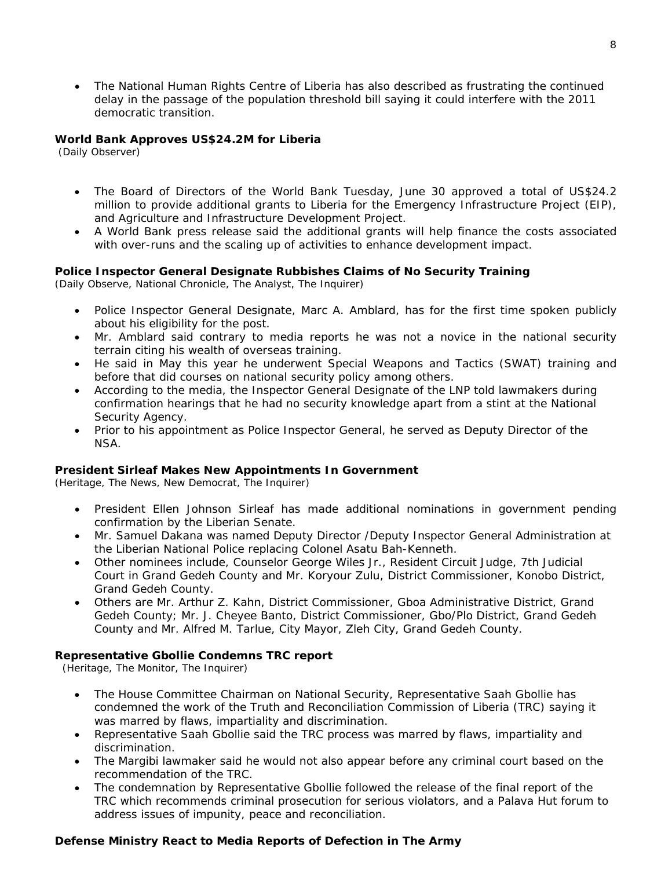• The National Human Rights Centre of Liberia has also described as frustrating the continued delay in the passage of the population threshold bill saying it could interfere with the 2011 democratic transition.

#### **World Bank Approves US\$24.2M for Liberia**

(Daily Observer)

- The Board of Directors of the World Bank Tuesday, June 30 approved a total of US\$24.2 million to provide additional grants to Liberia for the Emergency Infrastructure Project (EIP), and Agriculture and Infrastructure Development Project.
- A World Bank press release said the additional grants will help finance the costs associated with over-runs and the scaling up of activities to enhance development impact.

#### **Police Inspector General Designate Rubbishes Claims of No Security Training**

(Daily Observe, National Chronicle, The Analyst, The Inquirer)

- Police Inspector General Designate, Marc A. Amblard, has for the first time spoken publicly about his eligibility for the post.
- Mr. Amblard said contrary to media reports he was not a novice in the national security terrain citing his wealth of overseas training.
- He said in May this year he underwent Special Weapons and Tactics (SWAT) training and before that did courses on national security policy among others.
- According to the media, the Inspector General Designate of the LNP told lawmakers during confirmation hearings that he had no security knowledge apart from a stint at the National Security Agency.
- Prior to his appointment as Police Inspector General, he served as Deputy Director of the NSA.

#### **President Sirleaf Makes New Appointments In Government**

(Heritage, The News, New Democrat, The Inquirer)

- President Ellen Johnson Sirleaf has made additional nominations in government pending confirmation by the Liberian Senate.
- Mr. Samuel Dakana was named Deputy Director /Deputy Inspector General Administration at the Liberian National Police replacing Colonel Asatu Bah-Kenneth.
- Other nominees include, Counselor George Wiles Jr., Resident Circuit Judge, 7th Judicial Court in Grand Gedeh County and Mr. Koryour Zulu, District Commissioner, Konobo District, Grand Gedeh County.
- Others are Mr. Arthur Z. Kahn, District Commissioner, Gboa Administrative District, Grand Gedeh County; Mr. J. Cheyee Banto, District Commissioner, Gbo/Plo District, Grand Gedeh County and Mr. Alfred M. Tarlue, City Mayor, Zleh City, Grand Gedeh County.

#### **Representative Gbollie Condemns TRC report**

(Heritage, The Monitor, The Inquirer)

- The House Committee Chairman on National Security, Representative Saah Gbollie has condemned the work of the Truth and Reconciliation Commission of Liberia (TRC) saying it was marred by flaws, impartiality and discrimination.
- Representative Saah Gbollie said the TRC process was marred by flaws, impartiality and discrimination.
- The Margibi lawmaker said he would not also appear before any criminal court based on the recommendation of the TRC.
- The condemnation by Representative Gbollie followed the release of the final report of the TRC which recommends criminal prosecution for serious violators, and a Palava Hut forum to address issues of impunity, peace and reconciliation.

#### **Defense Ministry React to Media Reports of Defection in The Army**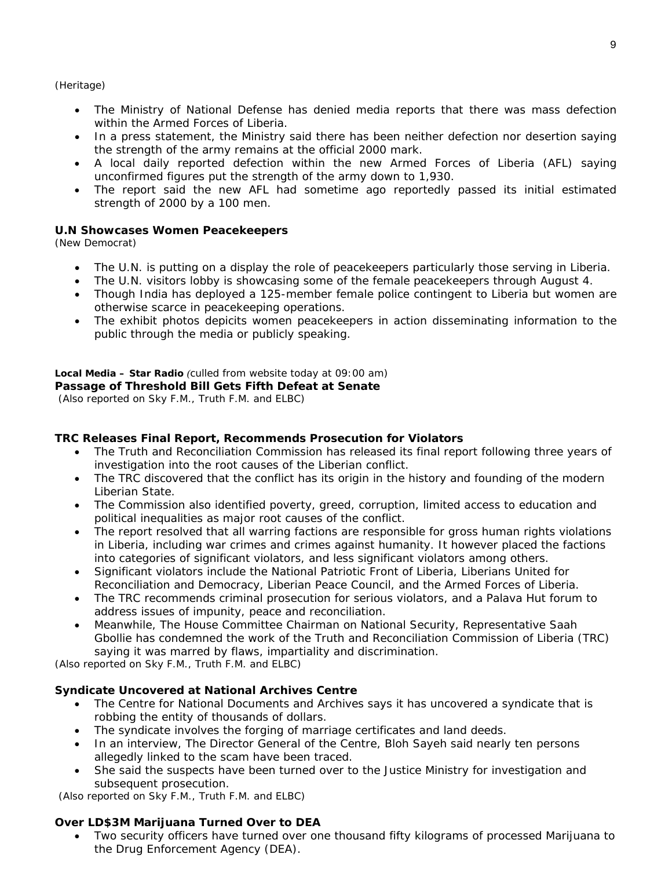(Heritage)

- The Ministry of National Defense has denied media reports that there was mass defection within the Armed Forces of Liberia.
- In a press statement, the Ministry said there has been neither defection nor desertion saying the strength of the army remains at the official 2000 mark.
- A local daily reported defection within the new Armed Forces of Liberia (AFL) saying unconfirmed figures put the strength of the army down to 1,930.
- The report said the new AFL had sometime ago reportedly passed its initial estimated strength of 2000 by a 100 men.

#### **U.N Showcases Women Peacekeepers**

(New Democrat)

- The U.N. is putting on a display the role of peacekeepers particularly those serving in Liberia.
- The U.N. visitors lobby is showcasing some of the female peacekeepers through August 4.
- Though India has deployed a 125-member female police contingent to Liberia but women are otherwise scarce in peacekeeping operations.
- The exhibit photos depicits women peacekeepers in action disseminating information to the public through the media or publicly speaking.

#### **Local Media – Star Radio** *(culled from website today at 09:00 am)*

**Passage of Threshold Bill Gets Fifth Defeat at Senate** 

 *(Also reported on Sky F.M., Truth F.M. and ELBC)* 

#### **TRC Releases Final Report, Recommends Prosecution for Violators**

- The Truth and Reconciliation Commission has released its final report following three years of investigation into the root causes of the Liberian conflict.
- The TRC discovered that the conflict has its origin in the history and founding of the modern Liberian State.
- The Commission also identified poverty, greed, corruption, limited access to education and political inequalities as major root causes of the conflict.
- The report resolved that all warring factions are responsible for gross human rights violations in Liberia, including war crimes and crimes against humanity. It however placed the factions into categories of significant violators, and less significant violators among others.
- Significant violators include the National Patriotic Front of Liberia, Liberians United for Reconciliation and Democracy, Liberian Peace Council, and the Armed Forces of Liberia.
- The TRC recommends criminal prosecution for serious violators, and a Palava Hut forum to address issues of impunity, peace and reconciliation.
- Meanwhile, The House Committee Chairman on National Security, Representative Saah Gbollie has condemned the work of the Truth and Reconciliation Commission of Liberia (TRC) saying it was marred by flaws, impartiality and discrimination.

*(Also reported on Sky F.M., Truth F.M. and ELBC)* 

#### **Syndicate Uncovered at National Archives Centre**

- The Centre for National Documents and Archives says it has uncovered a syndicate that is robbing the entity of thousands of dollars.
- The syndicate involves the forging of marriage certificates and land deeds.
- In an interview, The Director General of the Centre, Bloh Sayeh said nearly ten persons allegedly linked to the scam have been traced.
- She said the suspects have been turned over to the Justice Ministry for investigation and subsequent prosecution.

*(Also reported on Sky F.M., Truth F.M. and ELBC)* 

#### **Over LD\$3M Marijuana Turned Over to DEA**

• Two security officers have turned over one thousand fifty kilograms of processed Marijuana to the Drug Enforcement Agency (DEA).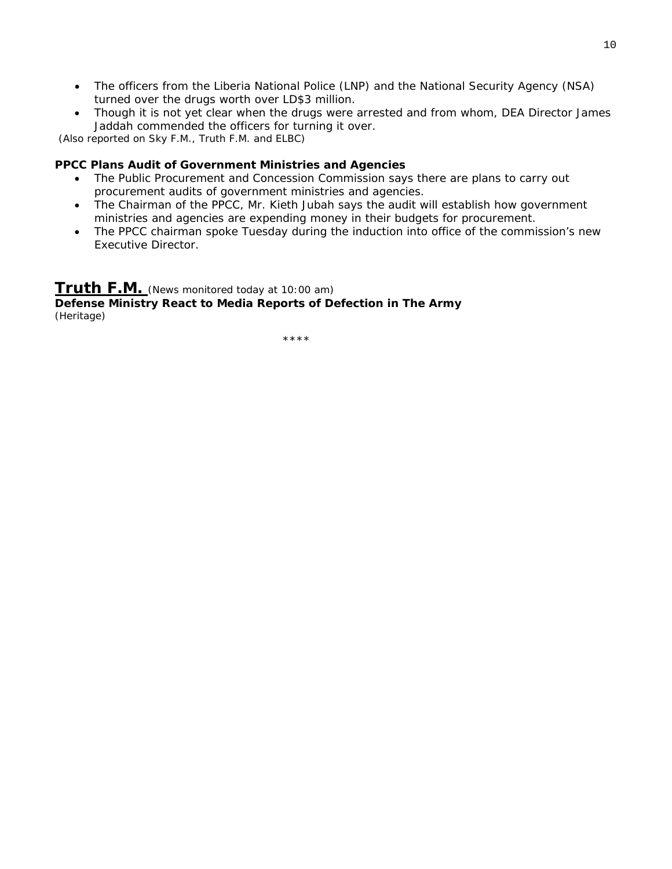- The officers from the Liberia National Police (LNP) and the National Security Agency (NSA) turned over the drugs worth over LD\$3 million.
- Though it is not yet clear when the drugs were arrested and from whom, DEA Director James Jaddah commended the officers for turning it over.

*(Also reported on Sky F.M., Truth F.M. and ELBC)* 

#### **PPCC Plans Audit of Government Ministries and Agencies**

- The Public Procurement and Concession Commission says there are plans to carry out procurement audits of government ministries and agencies.
- The Chairman of the PPCC, Mr. Kieth Jubah says the audit will establish how government ministries and agencies are expending money in their budgets for procurement.
- The PPCC chairman spoke Tuesday during the induction into office of the commission's new Executive Director.

#### **Truth F.M.** *(News monitored today at 10:00 am)*

**Defense Ministry React to Media Reports of Defection in The Army**  (Heritage)

\*\*\*\*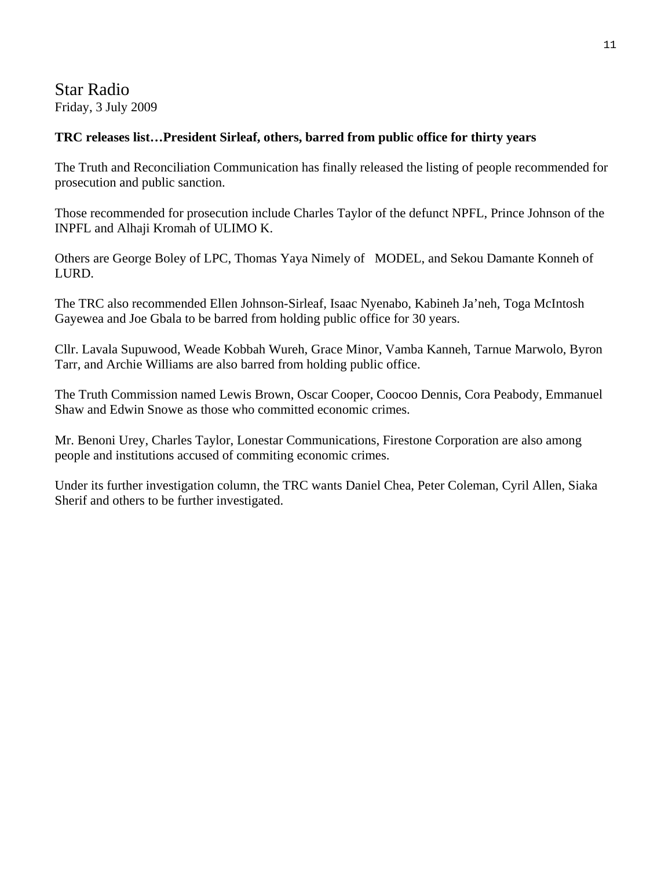## Star Radio Friday, 3 July 2009

#### **TRC releases list…President Sirleaf, others, barred from public office for thirty years**

The Truth and Reconciliation Communication has finally released the listing of people recommended for prosecution and public sanction.

Those recommended for prosecution include Charles Taylor of the defunct NPFL, Prince Johnson of the INPFL and Alhaji Kromah of ULIMO K.

Others are George Boley of LPC, Thomas Yaya Nimely of MODEL, and Sekou Damante Konneh of LURD.

The TRC also recommended Ellen Johnson-Sirleaf, Isaac Nyenabo, Kabineh Ja'neh, Toga McIntosh Gayewea and Joe Gbala to be barred from holding public office for 30 years.

Cllr. Lavala Supuwood, Weade Kobbah Wureh, Grace Minor, Vamba Kanneh, Tarnue Marwolo, Byron Tarr, and Archie Williams are also barred from holding public office.

The Truth Commission named Lewis Brown, Oscar Cooper, Coocoo Dennis, Cora Peabody, Emmanuel Shaw and Edwin Snowe as those who committed economic crimes.

Mr. Benoni Urey, Charles Taylor, Lonestar Communications, Firestone Corporation are also among people and institutions accused of commiting economic crimes.

Under its further investigation column, the TRC wants Daniel Chea, Peter Coleman, Cyril Allen, Siaka Sherif and others to be further investigated.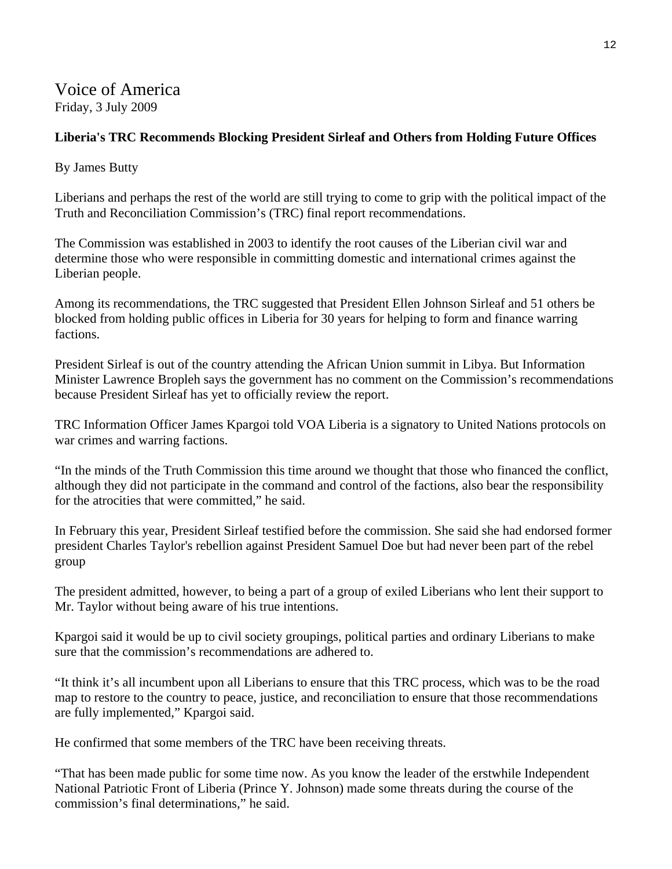Voice of America Friday, 3 July 2009

#### **Liberia's TRC Recommends Blocking President Sirleaf and Others from Holding Future Offices**

By James Butty

Liberians and perhaps the rest of the world are still trying to come to grip with the political impact of the Truth and Reconciliation Commission's (TRC) final report recommendations.

The Commission was established in 2003 to identify the root causes of the Liberian civil war and determine those who were responsible in committing domestic and international crimes against the Liberian people.

Among its recommendations, the TRC suggested that President Ellen Johnson Sirleaf and 51 others be blocked from holding public offices in Liberia for 30 years for helping to form and finance warring factions.

President Sirleaf is out of the country attending the African Union summit in Libya. But Information Minister Lawrence Bropleh says the government has no comment on the Commission's recommendations because President Sirleaf has yet to officially review the report.

TRC Information Officer James Kpargoi told VOA Liberia is a signatory to United Nations protocols on war crimes and warring factions.

"In the minds of the Truth Commission this time around we thought that those who financed the conflict, although they did not participate in the command and control of the factions, also bear the responsibility for the atrocities that were committed," he said.

In February this year, President Sirleaf testified before the commission. She said she had endorsed former president Charles Taylor's rebellion against President Samuel Doe but had never been part of the rebel group

The president admitted, however, to being a part of a group of exiled Liberians who lent their support to Mr. Taylor without being aware of his true intentions.

Kpargoi said it would be up to civil society groupings, political parties and ordinary Liberians to make sure that the commission's recommendations are adhered to.

"It think it's all incumbent upon all Liberians to ensure that this TRC process, which was to be the road map to restore to the country to peace, justice, and reconciliation to ensure that those recommendations are fully implemented," Kpargoi said.

He confirmed that some members of the TRC have been receiving threats.

"That has been made public for some time now. As you know the leader of the erstwhile Independent National Patriotic Front of Liberia (Prince Y. Johnson) made some threats during the course of the commission's final determinations," he said.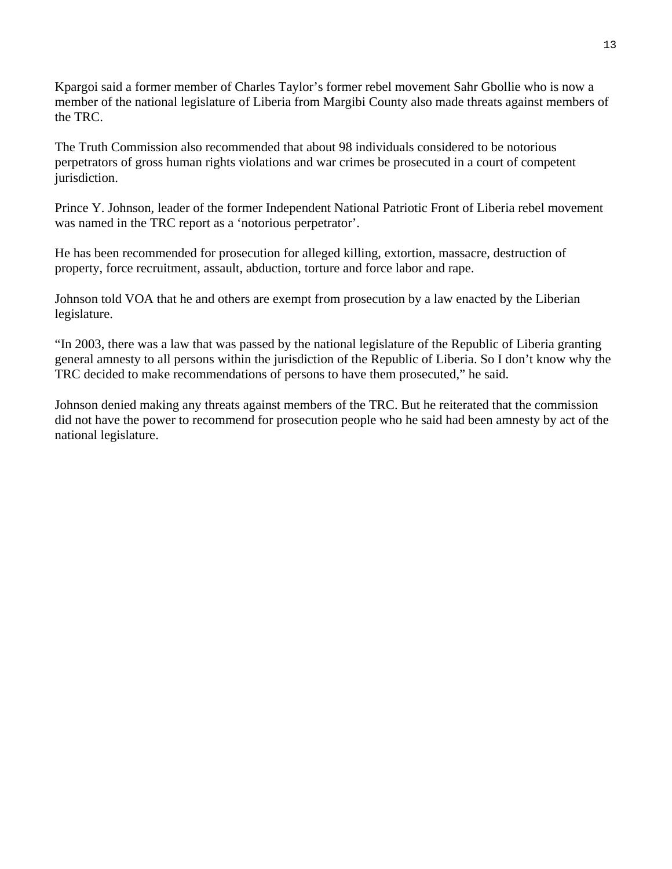Kpargoi said a former member of Charles Taylor's former rebel movement Sahr Gbollie who is now a member of the national legislature of Liberia from Margibi County also made threats against members of the TRC.

The Truth Commission also recommended that about 98 individuals considered to be notorious perpetrators of gross human rights violations and war crimes be prosecuted in a court of competent jurisdiction.

Prince Y. Johnson, leader of the former Independent National Patriotic Front of Liberia rebel movement was named in the TRC report as a 'notorious perpetrator'.

He has been recommended for prosecution for alleged killing, extortion, massacre, destruction of property, force recruitment, assault, abduction, torture and force labor and rape.

Johnson told VOA that he and others are exempt from prosecution by a law enacted by the Liberian legislature.

"In 2003, there was a law that was passed by the national legislature of the Republic of Liberia granting general amnesty to all persons within the jurisdiction of the Republic of Liberia. So I don't know why the TRC decided to make recommendations of persons to have them prosecuted," he said.

Johnson denied making any threats against members of the TRC. But he reiterated that the commission did not have the power to recommend for prosecution people who he said had been amnesty by act of the national legislature.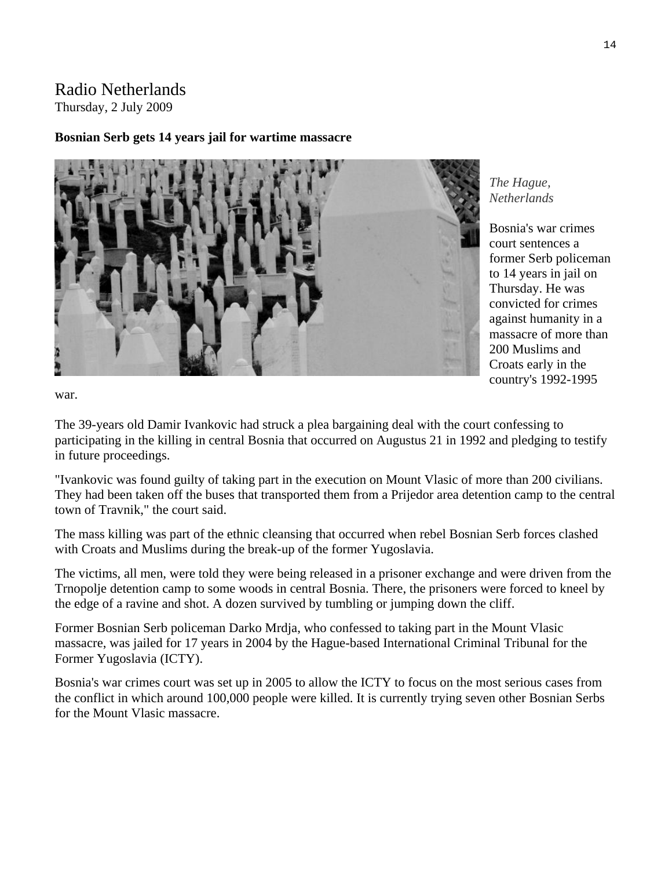### Radio Netherlands Thursday, 2 July 2009

#### **Bosnian Serb gets 14 years jail for wartime massacre**



*The Hague, Netherlands* 

Bosnia's war crimes court sentences a former Serb policeman to 14 years in jail on Thursday. He was convicted for crimes against humanity in a massacre of more than 200 Muslims and Croats early in the country's 1992-1995

war.

The 39-years old Damir Ivankovic had struck a plea bargaining deal with the court confessing to participating in the killing in central Bosnia that occurred on Augustus 21 in 1992 and pledging to testify in future proceedings.

"Ivankovic was found guilty of taking part in the execution on Mount Vlasic of more than 200 civilians. They had been taken off the buses that transported them from a Prijedor area detention camp to the central town of Travnik," the court said.

The mass killing was part of the ethnic cleansing that occurred when rebel Bosnian Serb forces clashed with Croats and Muslims during the break-up of the former Yugoslavia.

The victims, all men, were told they were being released in a prisoner exchange and were driven from the Trnopolje detention camp to some woods in central Bosnia. There, the prisoners were forced to kneel by the edge of a ravine and shot. A dozen survived by tumbling or jumping down the cliff.

Former Bosnian Serb policeman Darko Mrdja, who confessed to taking part in the Mount Vlasic massacre, was jailed for 17 years in 2004 by the Hague-based International Criminal Tribunal for the Former Yugoslavia (ICTY).

Bosnia's war crimes court was set up in 2005 to allow the ICTY to focus on the most serious cases from the conflict in which around 100,000 people were killed. It is currently trying seven other Bosnian Serbs for the Mount Vlasic massacre.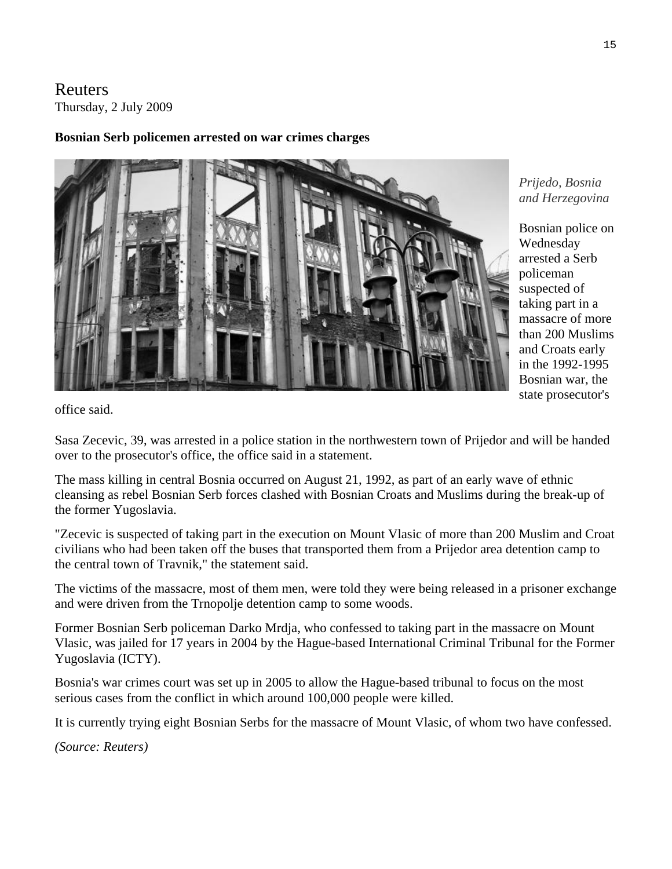Reuters Thursday, 2 July 2009

#### **Bosnian Serb policemen arrested on war crimes charges**



*Prijedo, Bosnia and Herzegovina* 

Bosnian police on Wednesday arrested a Serb policeman suspected of taking part in a massacre of more than 200 Muslims and Croats early in the 1992-1995 Bosnian war, the state prosecutor's

office said.

Sasa Zecevic, 39, was arrested in a police station in the northwestern town of Prijedor and will be handed over to the prosecutor's office, the office said in a statement.

The mass killing in central Bosnia occurred on August 21, 1992, as part of an early wave of ethnic cleansing as rebel Bosnian Serb forces clashed with Bosnian Croats and Muslims during the break-up of the former Yugoslavia.

"Zecevic is suspected of taking part in the execution on Mount Vlasic of more than 200 Muslim and Croat civilians who had been taken off the buses that transported them from a Prijedor area detention camp to the central town of Travnik," the statement said.

The victims of the massacre, most of them men, were told they were being released in a prisoner exchange and were driven from the Trnopolje detention camp to some woods.

Former Bosnian Serb policeman Darko Mrdja, who confessed to taking part in the massacre on Mount Vlasic, was jailed for 17 years in 2004 by the Hague-based International Criminal Tribunal for the Former Yugoslavia (ICTY).

Bosnia's war crimes court was set up in 2005 to allow the Hague-based tribunal to focus on the most serious cases from the conflict in which around 100,000 people were killed.

It is currently trying eight Bosnian Serbs for the massacre of Mount Vlasic, of whom two have confessed.

*(Source: Reuters)*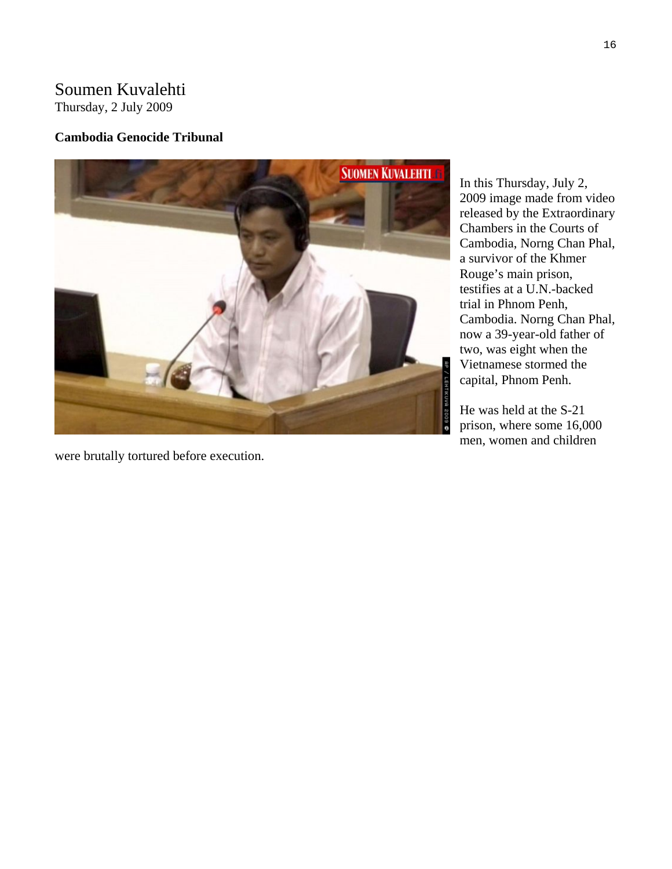# Soumen Kuvalehti

Thursday, 2 July 2009

#### **Cambodia Genocide Tribunal**



were brutally tortured before execution.

In this Thursday, July 2, 2009 image made from video released by the E xtraordinary Chambers in the Courts of Cambodia, Norng Chan Ph al, a survivor of the Khmer Rouge's main prison, testifies at a U.N.-backed trial in Phnom Penh, Cambodia. Norng Chan P hal, now a 39-year-old father of two, was eight when the Vietnamese stormed th e capital, Phnom Penh.

He was held at the S-21 prison, where some 16,000 men, women and children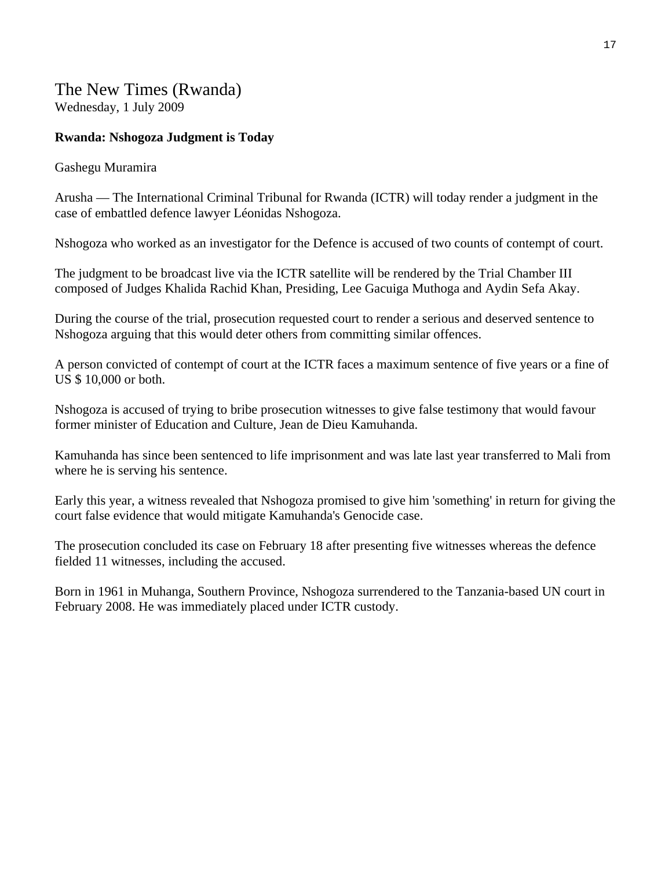The New Times (Rwanda) Wednesday, 1 July 2009

#### **Rwanda: Nshogoza Judgment is Today**

#### Gashegu Muramira

Arusha — The International Criminal Tribunal for Rwanda (ICTR) will today render a judgment in the case of embattled defence lawyer Léonidas Nshogoza.

Nshogoza who worked as an investigator for the Defence is accused of two counts of contempt of court.

The judgment to be broadcast live via the ICTR satellite will be rendered by the Trial Chamber III composed of Judges Khalida Rachid Khan, Presiding, Lee Gacuiga Muthoga and Aydin Sefa Akay.

During the course of the trial, prosecution requested court to render a serious and deserved sentence to Nshogoza arguing that this would deter others from committing similar offences.

A person convicted of contempt of court at the ICTR faces a maximum sentence of five years or a fine of US \$ 10,000 or both.

Nshogoza is accused of trying to bribe prosecution witnesses to give false testimony that would favour former minister of Education and Culture, Jean de Dieu Kamuhanda.

Kamuhanda has since been sentenced to life imprisonment and was late last year transferred to Mali from where he is serving his sentence.

Early this year, a witness revealed that Nshogoza promised to give him 'something' in return for giving the court false evidence that would mitigate Kamuhanda's Genocide case.

The prosecution concluded its case on February 18 after presenting five witnesses whereas the defence fielded 11 witnesses, including the accused.

Born in 1961 in Muhanga, Southern Province, Nshogoza surrendered to the Tanzania-based UN court in February 2008. He was immediately placed under ICTR custody.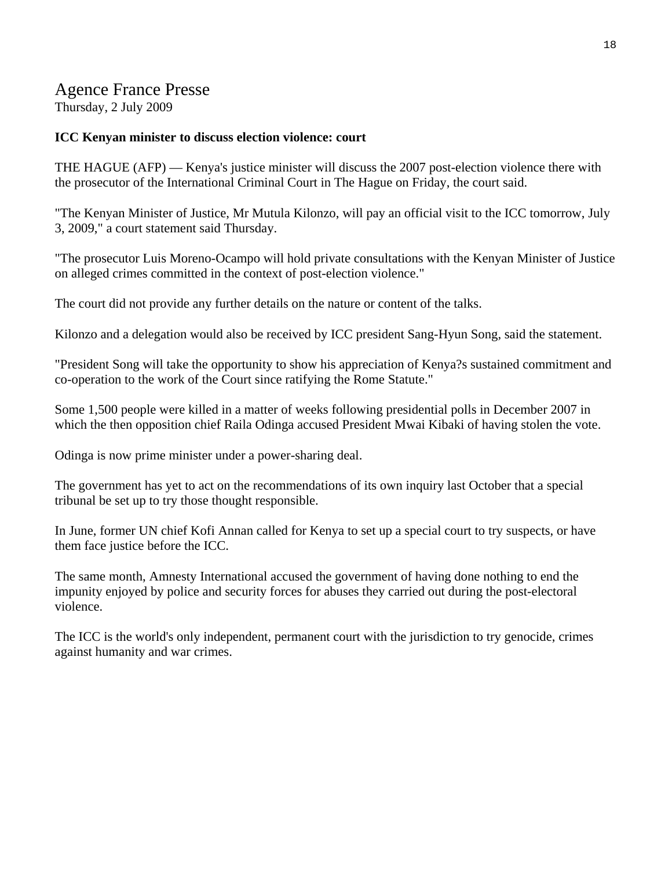# Agence France Presse

Thursday, 2 July 2009

#### **ICC Kenyan minister to discuss election violence: court**

THE HAGUE (AFP) — Kenya's justice minister will discuss the 2007 post-election violence there with the prosecutor of the International Criminal Court in The Hague on Friday, the court said.

"The Kenyan Minister of Justice, Mr Mutula Kilonzo, will pay an official visit to the ICC tomorrow, July 3, 2009," a court statement said Thursday.

"The prosecutor Luis Moreno-Ocampo will hold private consultations with the Kenyan Minister of Justice on alleged crimes committed in the context of post-election violence."

The court did not provide any further details on the nature or content of the talks.

Kilonzo and a delegation would also be received by ICC president Sang-Hyun Song, said the statement.

"President Song will take the opportunity to show his appreciation of Kenya?s sustained commitment and co-operation to the work of the Court since ratifying the Rome Statute."

Some 1,500 people were killed in a matter of weeks following presidential polls in December 2007 in which the then opposition chief Raila Odinga accused President Mwai Kibaki of having stolen the vote.

Odinga is now prime minister under a power-sharing deal.

The government has yet to act on the recommendations of its own inquiry last October that a special tribunal be set up to try those thought responsible.

In June, former UN chief Kofi Annan called for Kenya to set up a special court to try suspects, or have them face justice before the ICC.

The same month, Amnesty International accused the government of having done nothing to end the impunity enjoyed by police and security forces for abuses they carried out during the post-electoral violence.

The ICC is the world's only independent, permanent court with the jurisdiction to try genocide, crimes against humanity and war crimes.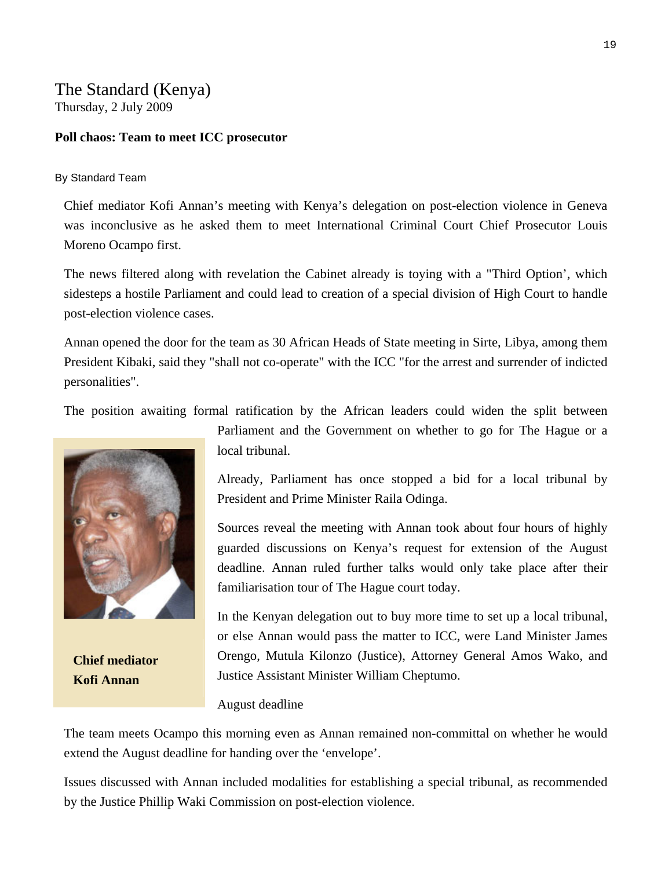## The Standard (Kenya) Thursday, 2 July 2009

#### **Poll chaos: Team to meet ICC prosecutor**

#### By Standard Team

Chief mediator Kofi Annan's meeting with Kenya's delegation on post-election violence in Geneva was inconclusive as he asked them to meet International Criminal Court Chief Prosecutor Louis Moreno Ocampo first.

The news filtered along with revelation the Cabinet already is toying with a "Third Option', which sidesteps a hostile Parliament and could lead to creation of a special division of High Court to handle post-election violence cases.

Annan opened the door for the team as 30 African Heads of State meeting in Sirte, Libya, among them President Kibaki, said they "shall not co-operate" with the ICC "for the arrest and surrender of indicted personalities".

The position awaiting formal ratification by the African leaders could widen the split between



**Chief mediator Kofi Annan** 

local tribunal.

Already, Parliament has once stopped a bid for a local tribunal by President and Prime Minister Raila Odinga.

Parliament and the Government on whether to go for The Hague or a

Sources reveal the meeting with Annan took about four hours of highly guarded discussions on Kenya's request for extension of the August deadline. Annan ruled further talks would only take place after their familiarisation tour of The Hague court today.

In the Kenyan delegation out to buy more time to set up a local tribunal, or else Annan would pass the matter to ICC, were Land Minister James Orengo, Mutula Kilonzo (Justice), Attorney General Amos Wako, and Justice Assistant Minister William Cheptumo.

#### August deadline

The team meets Ocampo this morning even as Annan remained non-committal on whether he would extend the August deadline for handing over the 'envelope'.

Issues discussed with Annan included modalities for establishing a special tribunal, as recommended by the Justice Phillip Waki Commission on post-election violence.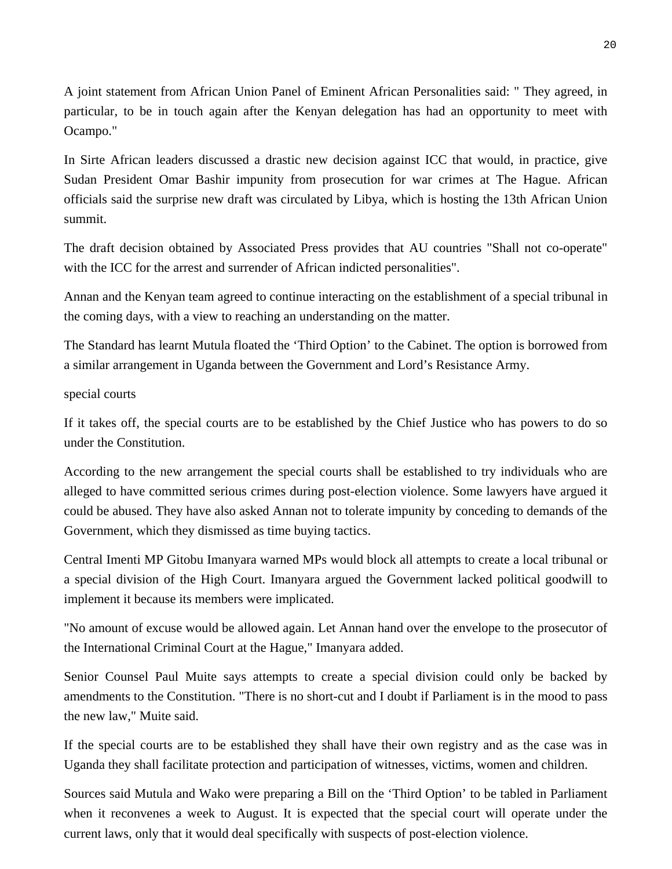A joint statement from African Union Panel of Eminent African Personalities said: " They agreed, in particular, to be in touch again after the Kenyan delegation has had an opportunity to meet with Ocampo."

In Sirte African leaders discussed a drastic new decision against ICC that would, in practice, give Sudan President Omar Bashir impunity from prosecution for war crimes at The Hague. African officials said the surprise new draft was circulated by Libya, which is hosting the 13th African Union summit.

The draft decision obtained by Associated Press provides that AU countries "Shall not co-operate" with the ICC for the arrest and surrender of African indicted personalities".

Annan and the Kenyan team agreed to continue interacting on the establishment of a special tribunal in the coming days, with a view to reaching an understanding on the matter.

The Standard has learnt Mutula floated the 'Third Option' to the Cabinet. The option is borrowed from a similar arrangement in Uganda between the Government and Lord's Resistance Army.

#### special courts

If it takes off, the special courts are to be established by the Chief Justice who has powers to do so under the Constitution.

According to the new arrangement the special courts shall be established to try individuals who are alleged to have committed serious crimes during post-election violence. Some lawyers have argued it could be abused. They have also asked Annan not to tolerate impunity by conceding to demands of the Government, which they dismissed as time buying tactics.

Central Imenti MP Gitobu Imanyara warned MPs would block all attempts to create a local tribunal or a special division of the High Court. Imanyara argued the Government lacked political goodwill to implement it because its members were implicated.

"No amount of excuse would be allowed again. Let Annan hand over the envelope to the prosecutor of the International Criminal Court at the Hague," Imanyara added.

Senior Counsel Paul Muite says attempts to create a special division could only be backed by amendments to the Constitution. "There is no short-cut and I doubt if Parliament is in the mood to pass the new law," Muite said.

If the special courts are to be established they shall have their own registry and as the case was in Uganda they shall facilitate protection and participation of witnesses, victims, women and children.

Sources said Mutula and Wako were preparing a Bill on the 'Third Option' to be tabled in Parliament when it reconvenes a week to August. It is expected that the special court will operate under the current laws, only that it would deal specifically with suspects of post-election violence.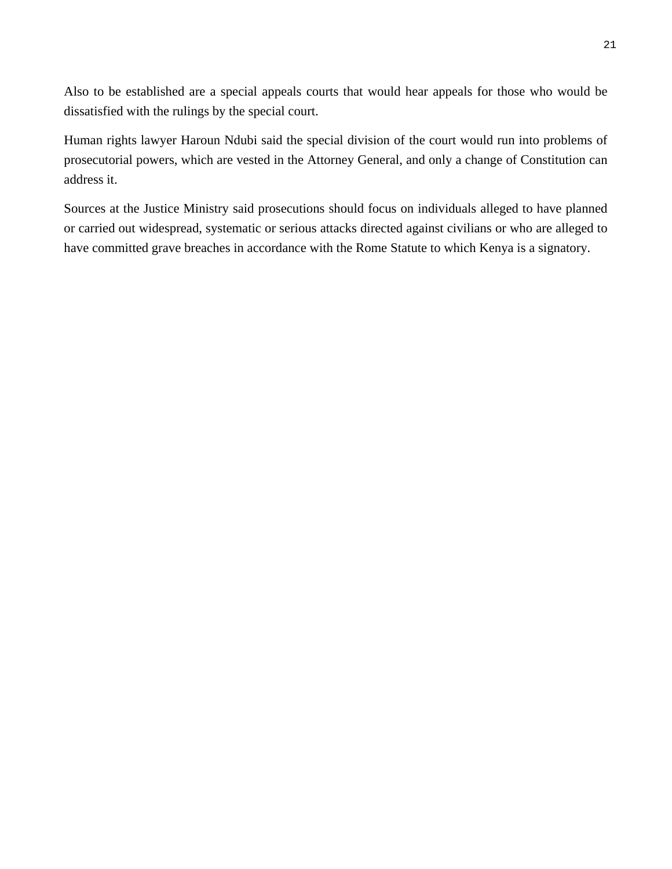Also to be established are a special appeals courts that would hear appeals for those who would be dissatisfied with the rulings by the special court.

Human rights lawyer Haroun Ndubi said the special division of the court would run into problems of prosecutorial powers, which are vested in the Attorney General, and only a change of Constitution can address it.

Sources at the Justice Ministry said prosecutions should focus on individuals alleged to have planned or carried out widespread, systematic or serious attacks directed against civilians or who are alleged to have committed grave breaches in accordance with the Rome Statute to which Kenya is a signatory.